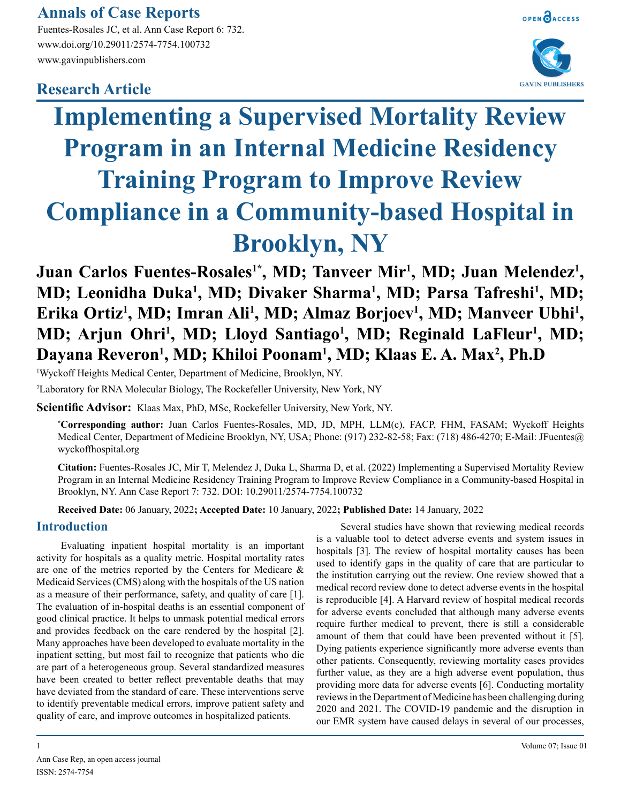# **Annals of Case Reports**

Fuentes-Rosales JC, et al. Ann Case Report 6: 732. www.doi.org/10.29011/2574-7754.100732 www.gavinpublishers.com

## **Research Article**





# **Implementing a Supervised Mortality Review Program in an Internal Medicine Residency Training Program to Improve Review Compliance in a Community-based Hospital in Brooklyn, NY**

Juan Carlos Fuentes-Rosales<sup>1\*</sup>, MD; Tanveer Mir<sup>1</sup>, MD; Juan Melendez<sup>1</sup>, **MD; Leonidha Duka<sup>1</sup>, MD; Divaker Sharma<sup>1</sup>, MD; Parsa Tafreshi<sup>1</sup>, MD;** Erika Ortiz<sup>1</sup>, MD; Imran Ali<sup>1</sup>, MD; Almaz Borjoev<sup>1</sup>, MD; Manveer Ubhi<sup>1</sup>, **MD; Arjun Ohri<sup>1</sup>, MD; Lloyd Santiago<sup>1</sup>, MD; Reginald LaFleur<sup>1</sup>, MD; Dayana Reveron1 , MD; Khiloi Poonam1 , MD; Klaas E. A. Max2 , Ph.D**

1 Wyckoff Heights Medical Center, Department of Medicine, Brooklyn, NY.

2 Laboratory for RNA Molecular Biology, The Rockefeller University, New York, NY

**Scientific Advisor:** Klaas Max, PhD, MSc, Rockefeller University, New York, NY.

**\* Corresponding author:** Juan Carlos Fuentes-Rosales, MD, JD, MPH, LLM(c), FACP, FHM, FASAM; Wyckoff Heights Medical Center, Department of Medicine Brooklyn, NY, USA; Phone: (917) 232-82-58; Fax: (718) 486-4270; E-Mail: JFuentes@ wyckoffhospital.org

**Citation:** Fuentes-Rosales JC, Mir T, Melendez J, Duka L, Sharma D, et al. (2022) Implementing a Supervised Mortality Review Program in an Internal Medicine Residency Training Program to Improve Review Compliance in a Community-based Hospital in Brooklyn, NY. Ann Case Report 7: 732. DOI: 10.29011/2574-7754.100732

**Received Date:** 06 January, 2022**; Accepted Date:** 10 January, 2022**; Published Date:** 14 January, 2022

#### **Introduction**

Evaluating inpatient hospital mortality is an important activity for hospitals as a quality metric. Hospital mortality rates are one of the metrics reported by the Centers for Medicare & Medicaid Services (CMS) along with the hospitals of the US nation as a measure of their performance, safety, and quality of care [1]. The evaluation of in-hospital deaths is an essential component of good clinical practice. It helps to unmask potential medical errors and provides feedback on the care rendered by the hospital [2]. Many approaches have been developed to evaluate mortality in the inpatient setting, but most fail to recognize that patients who die are part of a heterogeneous group. Several standardized measures have been created to better reflect preventable deaths that may have deviated from the standard of care. These interventions serve to identify preventable medical errors, improve patient safety and quality of care, and improve outcomes in hospitalized patients.

Several studies have shown that reviewing medical records is a valuable tool to detect adverse events and system issues in hospitals [3]. The review of hospital mortality causes has been used to identify gaps in the quality of care that are particular to the institution carrying out the review. One review showed that a medical record review done to detect adverse events in the hospital is reproducible [4]. A Harvard review of hospital medical records for adverse events concluded that although many adverse events require further medical to prevent, there is still a considerable amount of them that could have been prevented without it [5]. Dying patients experience significantly more adverse events than other patients. Consequently, reviewing mortality cases provides further value, as they are a high adverse event population, thus providing more data for adverse events [6]. Conducting mortality reviews in the Department of Medicine has been challenging during 2020 and 2021. The COVID-19 pandemic and the disruption in our EMR system have caused delays in several of our processes,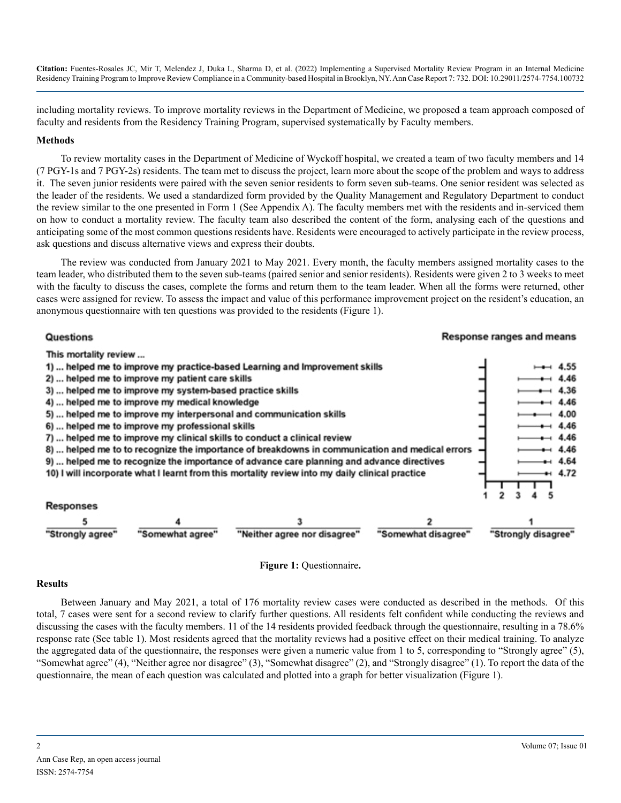**Citation:** Fuentes-Rosales JC, Mir T, Melendez J, Duka L, Sharma D, et al. (2022) Implementing a Supervised Mortality Review Program in an Internal Medicine Residency Training Program to Improve Review Compliance in a Community-based Hospital in Brooklyn, NY. Ann Case Report 7: 732. DOI: 10.29011/2574-7754.100732

including mortality reviews. To improve mortality reviews in the Department of Medicine, we proposed a team approach composed of faculty and residents from the Residency Training Program, supervised systematically by Faculty members.

#### **Methods**

To review mortality cases in the Department of Medicine of Wyckoff hospital, we created a team of two faculty members and 14 (7 PGY-1s and 7 PGY-2s) residents. The team met to discuss the project, learn more about the scope of the problem and ways to address it. The seven junior residents were paired with the seven senior residents to form seven sub-teams. One senior resident was selected as the leader of the residents. We used a standardized form provided by the Quality Management and Regulatory Department to conduct the review similar to the one presented in Form 1 (See Appendix A). The faculty members met with the residents and in-serviced them on how to conduct a mortality review. The faculty team also described the content of the form, analysing each of the questions and anticipating some of the most common questions residents have. Residents were encouraged to actively participate in the review process, ask questions and discuss alternative views and express their doubts.

The review was conducted from January 2021 to May 2021. Every month, the faculty members assigned mortality cases to the team leader, who distributed them to the seven sub-teams (paired senior and senior residents). Residents were given 2 to 3 weeks to meet with the faculty to discuss the cases, complete the forms and return them to the team leader. When all the forms were returned, other cases were assigned for review. To assess the impact and value of this performance improvement project on the resident's education, an anonymous questionnaire with ten questions was provided to the residents (Figure 1).

#### Questions **Response ranges and means** This mortality review ... 1) ... helped me to improve my practice-based Learning and Improvement skills 4.55 2) ... helped me to improve my patient care skills 4.46 3) ... helped me to improve my system-based practice skills 4.36 4) ... helped me to improve my medical knowledge 4.46 5) ... helped me to improve my interpersonal and communication skills 4.00 6) ... helped me to improve my professional skills  $-4.46$ 7) ... helped me to improve my clinical skills to conduct a clinical review 4.46 8) ... helped me to to recognize the importance of breakdowns in communication and medical errors 4.46 9) ... helped me to recognize the importance of advance care planning and advance directives 4.64 10) I will incorporate what I learnt from this mortality review into my daily clinical practice 4.72

| responses        |                  |                              |                     |                     |
|------------------|------------------|------------------------------|---------------------|---------------------|
|                  |                  |                              |                     |                     |
| "Strongly agree" | "Somewhat agree" | "Neither agree nor disagree" | "Somewhat disagree" | "Strongly disagree" |



#### **Results**

**Dochonooc** 

Between January and May 2021, a total of 176 mortality review cases were conducted as described in the methods. Of this total, 7 cases were sent for a second review to clarify further questions. All residents felt confident while conducting the reviews and discussing the cases with the faculty members. 11 of the 14 residents provided feedback through the questionnaire, resulting in a 78.6% response rate (See table 1). Most residents agreed that the mortality reviews had a positive effect on their medical training. To analyze the aggregated data of the questionnaire, the responses were given a numeric value from 1 to 5, corresponding to "Strongly agree" (5), "Somewhat agree" (4), "Neither agree nor disagree" (3), "Somewhat disagree" (2), and "Strongly disagree" (1). To report the data of the questionnaire, the mean of each question was calculated and plotted into a graph for better visualization (Figure 1).

5

1  $\overline{2}$ з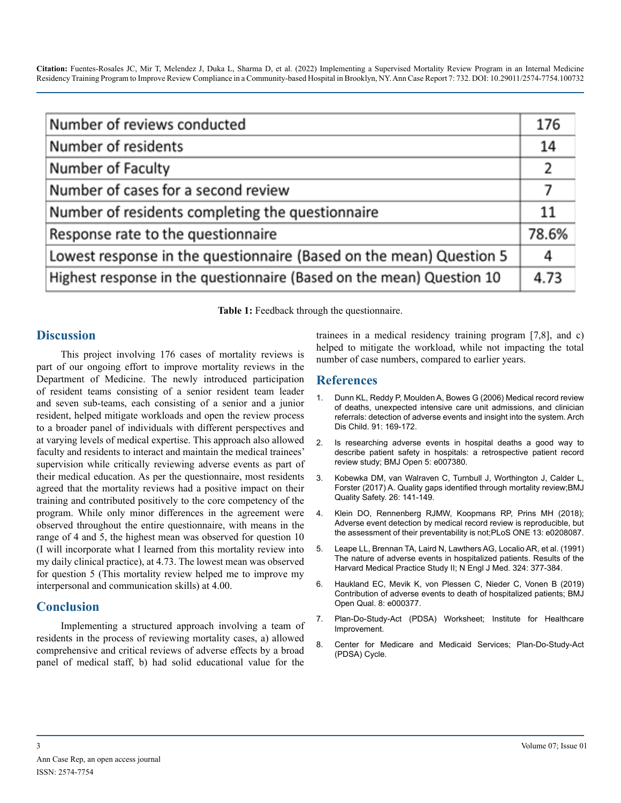**Citation:** Fuentes-Rosales JC, Mir T, Melendez J, Duka L, Sharma D, et al. (2022) Implementing a Supervised Mortality Review Program in an Internal Medicine Residency Training Program to Improve Review Compliance in a Community-based Hospital in Brooklyn, NY. Ann Case Report 7: 732. DOI: 10.29011/2574-7754.100732

| Number of reviews conducted                                           |       |  |
|-----------------------------------------------------------------------|-------|--|
| Number of residents                                                   | 14    |  |
| Number of Faculty                                                     | 2     |  |
| Number of cases for a second review                                   |       |  |
| Number of residents completing the questionnaire                      |       |  |
| Response rate to the questionnaire                                    | 78.6% |  |
| Lowest response in the questionnaire (Based on the mean) Question 5   |       |  |
| Highest response in the questionnaire (Based on the mean) Question 10 | 4.73  |  |

**Table 1:** Feedback through the questionnaire.

#### **Discussion**

This project involving 176 cases of mortality reviews is part of our ongoing effort to improve mortality reviews in the Department of Medicine. The newly introduced participation of resident teams consisting of a senior resident team leader and seven sub-teams, each consisting of a senior and a junior resident, helped mitigate workloads and open the review process to a broader panel of individuals with different perspectives and at varying levels of medical expertise. This approach also allowed faculty and residents to interact and maintain the medical trainees' supervision while critically reviewing adverse events as part of their medical education. As per the questionnaire, most residents agreed that the mortality reviews had a positive impact on their training and contributed positively to the core competency of the program. While only minor differences in the agreement were observed throughout the entire questionnaire, with means in the range of 4 and 5, the highest mean was observed for question 10 (I will incorporate what I learned from this mortality review into my daily clinical practice), at 4.73. The lowest mean was observed for question 5 (This mortality review helped me to improve my interpersonal and communication skills) at 4.00.

### **Conclusion**

Implementing a structured approach involving a team of residents in the process of reviewing mortality cases, a) allowed comprehensive and critical reviews of adverse effects by a broad panel of medical staff, b) had solid educational value for the trainees in a medical residency training program [7,8], and c) helped to mitigate the workload, while not impacting the total number of case numbers, compared to earlier years.

### **References**

- 1. [Dunn KL, Reddy P, Moulden A, Bowes G \(2006\) Medical record review](file:///C:/Users/phani/Desktop/10.1136/adc.2005.074179)  [of deaths, unexpected intensive care unit admissions, and clinician](file:///C:/Users/phani/Desktop/10.1136/adc.2005.074179)  [referrals: detection of adverse events and insight into the system. Arch](file:///C:/Users/phani/Desktop/10.1136/adc.2005.074179)  [Dis Child. 91: 169-172.](file:///C:/Users/phani/Desktop/10.1136/adc.2005.074179)
- 2. [Is researching adverse events in hospital deaths a good way to](file:///C:/Users/phani/Desktop/10.1136/bmjopen-2014-00738)  [describe patient safety in hospitals: a retrospective patient record](file:///C:/Users/phani/Desktop/10.1136/bmjopen-2014-00738) [review study; BMJ Open 5: e007380.](file:///C:/Users/phani/Desktop/10.1136/bmjopen-2014-00738)
- 3. [Kobewka DM, van Walraven C, Turnbull J, Worthington J, Calder L,](file:///C:/Users/phani/Desktop/10.1136/bmjqs-2015-004735) [Forster \(2017\) A. Quality gaps identified through mortality review;BMJ](file:///C:/Users/phani/Desktop/10.1136/bmjqs-2015-004735)  [Quality Safety. 26: 141-149.](file:///C:/Users/phani/Desktop/10.1136/bmjqs-2015-004735)
- 4. [Klein DO, Rennenberg RJMW, Koopmans RP, Prins MH \(2018\);](https://doi.org/10.1371/journal.pone.0208087)  [Adverse event detection by medical record review is reproducible, but](https://doi.org/10.1371/journal.pone.0208087)  [the assessment of their preventability is not;PLoS ONE 13: e0208087.](https://doi.org/10.1371/journal.pone.0208087)
- 5. [Leape LL, Brennan TA, Laird N, Lawthers AG, Localio AR, et al. \(1991\)](file:///C:/Users/phani/Desktop/10.1056/NEJM199102073240605)  [The nature of adverse events in hospitalized patients. Results of the](file:///C:/Users/phani/Desktop/10.1056/NEJM199102073240605) [Harvard Medical Practice Study II; N Engl J Med. 324: 377-384.](file:///C:/Users/phani/Desktop/10.1056/NEJM199102073240605)
- 6. [Haukland EC, Mevik K, von Plessen C, Nieder C, Vonen B \(2019\)](file:///C:/Users/phani/Desktop/10.1136/bmjoq-2018-000377) [Contribution of adverse events to death of hospitalized patients; BMJ](file:///C:/Users/phani/Desktop/10.1136/bmjoq-2018-000377)  [Open Qual. 8: e000377.](file:///C:/Users/phani/Desktop/10.1136/bmjoq-2018-000377)
- 7. [Plan-Do-Study-Act \(PDSA\) Worksheet; Institute for Healthcare](http://www.ihi.org/resources/Pages/Tools/PlanDoStudyActWorksheet.aspx)  [Improvement.](http://www.ihi.org/resources/Pages/Tools/PlanDoStudyActWorksheet.aspx)
- 8. [Center for Medicare and Medicaid Services; Plan-Do-Study-Act](https://www.cms.gov/medicare/provider-enrollment-and-certification/qapi/downloads/pdsacycledebedits.pdf)  [\(PDSA\) Cycle.](https://www.cms.gov/medicare/provider-enrollment-and-certification/qapi/downloads/pdsacycledebedits.pdf)